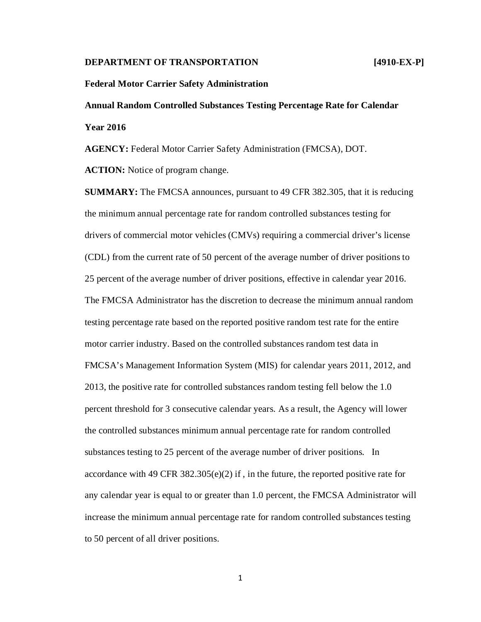### **DEPARTMENT OF TRANSPORTATION [4910-EX-P]**

# **Federal Motor Carrier Safety Administration**

**Annual Random Controlled Substances Testing Percentage Rate for Calendar Year 2016**

**AGENCY:** Federal Motor Carrier Safety Administration (FMCSA), DOT.

**ACTION:** Notice of program change.

**SUMMARY:** The FMCSA announces, pursuant to 49 CFR 382.305, that it is reducing the minimum annual percentage rate for random controlled substances testing for drivers of commercial motor vehicles (CMVs) requiring a commercial driver's license (CDL) from the current rate of 50 percent of the average number of driver positions to 25 percent of the average number of driver positions, effective in calendar year 2016. The FMCSA Administrator has the discretion to decrease the minimum annual random testing percentage rate based on the reported positive random test rate for the entire motor carrier industry. Based on the controlled substances random test data in FMCSA's Management Information System (MIS) for calendar years 2011, 2012, and 2013, the positive rate for controlled substances random testing fell below the 1.0 percent threshold for 3 consecutive calendar years. As a result, the Agency will lower the controlled substances minimum annual percentage rate for random controlled substances testing to 25 percent of the average number of driver positions. In accordance with 49 CFR  $382.305(e)(2)$  if, in the future, the reported positive rate for any calendar year is equal to or greater than 1.0 percent, the FMCSA Administrator will increase the minimum annual percentage rate for random controlled substances testing to 50 percent of all driver positions.

1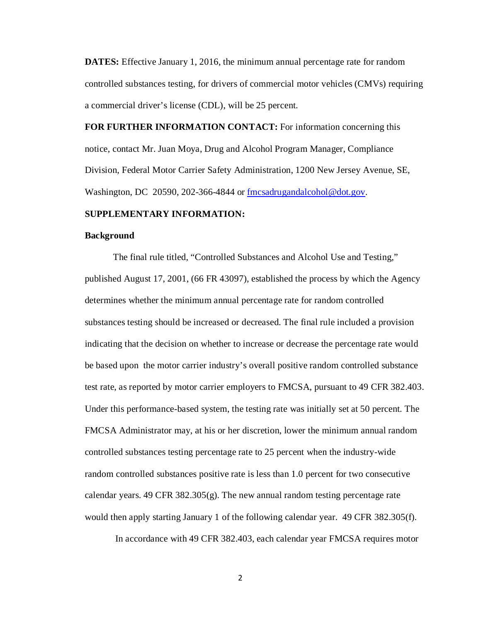**DATES:** Effective January 1, 2016, the minimum annual percentage rate for random controlled substances testing, for drivers of commercial motor vehicles (CMVs) requiring a commercial driver's license (CDL), will be 25 percent.

**FOR FURTHER INFORMATION CONTACT:** For information concerning this notice, contact Mr. Juan Moya, Drug and Alcohol Program Manager, Compliance Division, Federal Motor Carrier Safety Administration, 1200 New Jersey Avenue, SE, Washington, DC 20590, 202-366-4844 or [fmcsadrugandalcohol@dot.gov.](mailto:fmcsadrugandalcohol@dot.gov)

# **SUPPLEMENTARY INFORMATION:**

#### **Background**

The final rule titled, "Controlled Substances and Alcohol Use and Testing," published August 17, 2001, (66 FR 43097), established the process by which the Agency determines whether the minimum annual percentage rate for random controlled substances testing should be increased or decreased. The final rule included a provision indicating that the decision on whether to increase or decrease the percentage rate would be based upon the motor carrier industry's overall positive random controlled substance test rate, as reported by motor carrier employers to FMCSA, pursuant to 49 CFR 382.403. Under this performance-based system, the testing rate was initially set at 50 percent. The FMCSA Administrator may, at his or her discretion, lower the minimum annual random controlled substances testing percentage rate to 25 percent when the industry-wide random controlled substances positive rate is less than 1.0 percent for two consecutive calendar years. 49 CFR 382.305(g). The new annual random testing percentage rate would then apply starting January 1 of the following calendar year. 49 CFR 382.305(f).

In accordance with 49 CFR 382.403, each calendar year FMCSA requires motor

2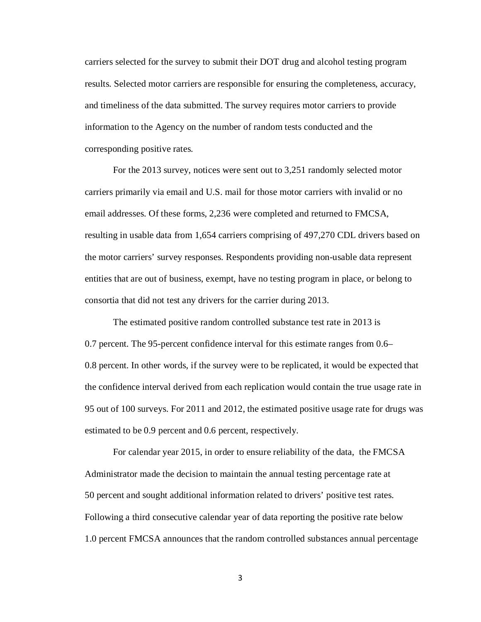carriers selected for the survey to submit their DOT drug and alcohol testing program results. Selected motor carriers are responsible for ensuring the completeness, accuracy, and timeliness of the data submitted. The survey requires motor carriers to provide information to the Agency on the number of random tests conducted and the corresponding positive rates.

For the 2013 survey, notices were sent out to 3,251 randomly selected motor carriers primarily via email and U.S. mail for those motor carriers with invalid or no email addresses. Of these forms, 2,236 were completed and returned to FMCSA, resulting in usable data from 1,654 carriers comprising of 497,270 CDL drivers based on the motor carriers' survey responses. Respondents providing non-usable data represent entities that are out of business, exempt, have no testing program in place, or belong to consortia that did not test any drivers for the carrier during 2013.

The estimated positive random controlled substance test rate in 2013 is 0.7 percent. The 95-percent confidence interval for this estimate ranges from 0.6– 0.8 percent. In other words, if the survey were to be replicated, it would be expected that the confidence interval derived from each replication would contain the true usage rate in 95 out of 100 surveys. For 2011 and 2012, the estimated positive usage rate for drugs was estimated to be 0.9 percent and 0.6 percent, respectively.

For calendar year 2015, in order to ensure reliability of the data, the FMCSA Administrator made the decision to maintain the annual testing percentage rate at 50 percent and sought additional information related to drivers' positive test rates. Following a third consecutive calendar year of data reporting the positive rate below 1.0 percent FMCSA announces that the random controlled substances annual percentage

3